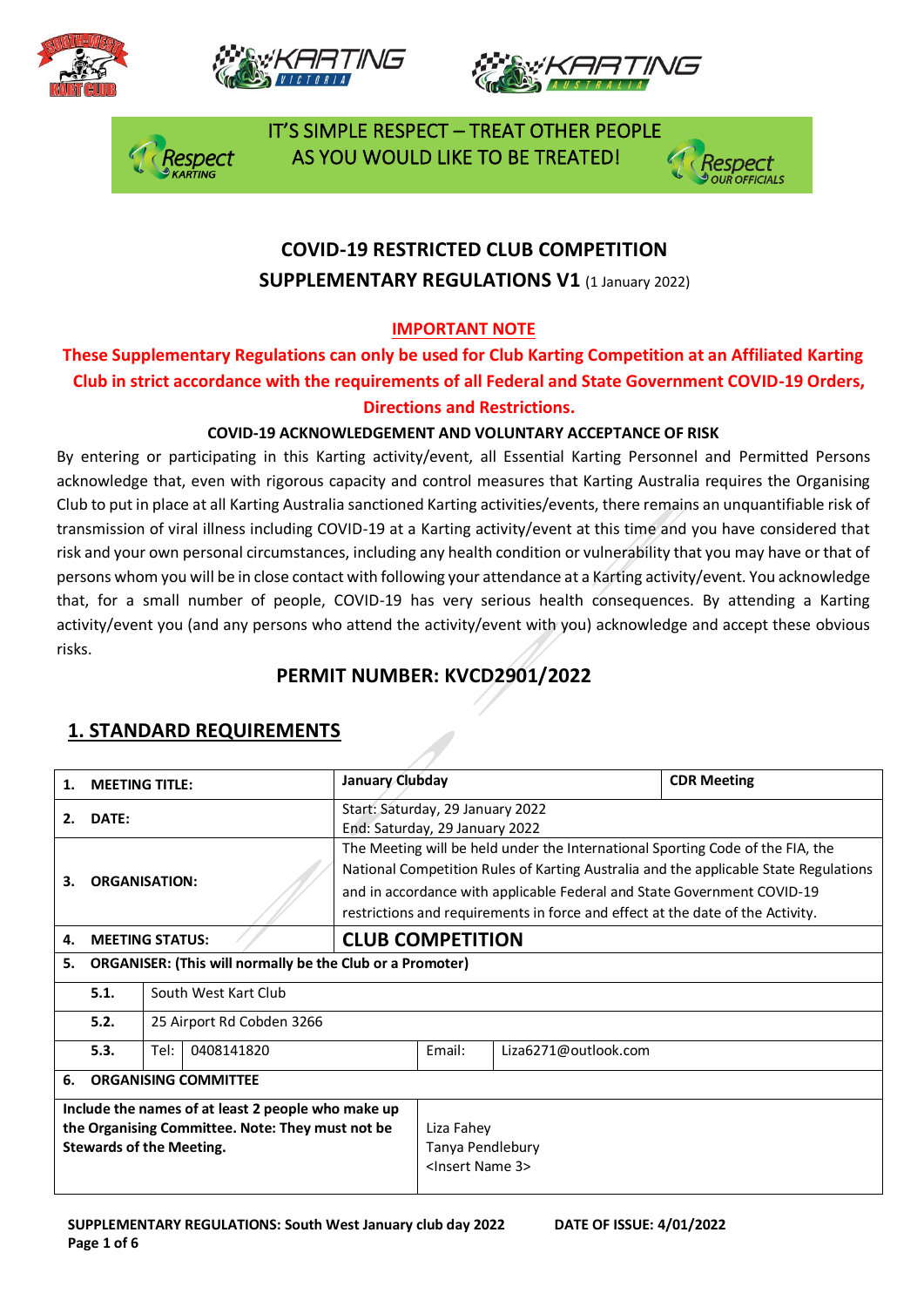







 IT'S SIMPLE RESPECT – TREAT OTHER PEOPLE spect AS YOU WOULD LIKE TO BE TREATED!



# **COVID-19 RESTRICTED CLUB COMPETITION SUPPLEMENTARY REGULATIONS V1 (1 January 2022)**

### **IMPORTANT NOTE**

### **These Supplementary Regulations can only be used for Club Karting Competition at an Affiliated Karting Club in strict accordance with the requirements of all Federal and State Government COVID-19 Orders, Directions and Restrictions.**

#### **COVID-19 ACKNOWLEDGEMENT AND VOLUNTARY ACCEPTANCE OF RISK**

By entering or participating in this Karting activity/event, all Essential Karting Personnel and Permitted Persons acknowledge that, even with rigorous capacity and control measures that Karting Australia requires the Organising Club to put in place at all Karting Australia sanctioned Karting activities/events, there remains an unquantifiable risk of transmission of viral illness including COVID-19 at a Karting activity/event at this time and you have considered that risk and your own personal circumstances, including any health condition or vulnerability that you may have or that of persons whom you will be in close contact with following your attendance at a Karting activity/event. You acknowledge that, for a small number of people, COVID-19 has very serious health consequences. By attending a Karting activity/event you (and any persons who attend the activity/event with you) acknowledge and accept these obvious risks.

## **PERMIT NUMBER: KVCD2901/2022**

| 1.                                                                                                                                        | <b>MEETING TITLE:</b>             |                      |  | January Clubday                                                                                                                                                                                                                                                                                                                     |                                                                  |                      | <b>CDR Meeting</b> |  |
|-------------------------------------------------------------------------------------------------------------------------------------------|-----------------------------------|----------------------|--|-------------------------------------------------------------------------------------------------------------------------------------------------------------------------------------------------------------------------------------------------------------------------------------------------------------------------------------|------------------------------------------------------------------|----------------------|--------------------|--|
| 2.                                                                                                                                        | DATE:                             |                      |  | Start: Saturday, 29 January 2022<br>End: Saturday, 29 January 2022                                                                                                                                                                                                                                                                  |                                                                  |                      |                    |  |
| З.                                                                                                                                        | <b>ORGANISATION:</b>              |                      |  | The Meeting will be held under the International Sporting Code of the FIA, the<br>National Competition Rules of Karting Australia and the applicable State Regulations<br>and in accordance with applicable Federal and State Government COVID-19<br>restrictions and requirements in force and effect at the date of the Activity. |                                                                  |                      |                    |  |
| 4.                                                                                                                                        | <b>MEETING STATUS:</b>            |                      |  | <b>CLUB COMPETITION</b>                                                                                                                                                                                                                                                                                                             |                                                                  |                      |                    |  |
| <b>ORGANISER: (This will normally be the Club or a Promoter)</b><br>5.                                                                    |                                   |                      |  |                                                                                                                                                                                                                                                                                                                                     |                                                                  |                      |                    |  |
|                                                                                                                                           | 5.1.                              | South West Kart Club |  |                                                                                                                                                                                                                                                                                                                                     |                                                                  |                      |                    |  |
|                                                                                                                                           | 5.2.<br>25 Airport Rd Cobden 3266 |                      |  |                                                                                                                                                                                                                                                                                                                                     |                                                                  |                      |                    |  |
|                                                                                                                                           | 5.3.                              | Tel:<br>0408141820   |  |                                                                                                                                                                                                                                                                                                                                     | Fmail:                                                           | Liza6271@outlook.com |                    |  |
| 6.                                                                                                                                        | <b>ORGANISING COMMITTEE</b>       |                      |  |                                                                                                                                                                                                                                                                                                                                     |                                                                  |                      |                    |  |
| Include the names of at least 2 people who make up<br>the Organising Committee. Note: They must not be<br><b>Stewards of the Meeting.</b> |                                   |                      |  |                                                                                                                                                                                                                                                                                                                                     | Liza Fahey<br>Tanya Pendlebury<br><lnsert 3="" name=""></lnsert> |                      |                    |  |

### **1. STANDARD REQUIREMENTS**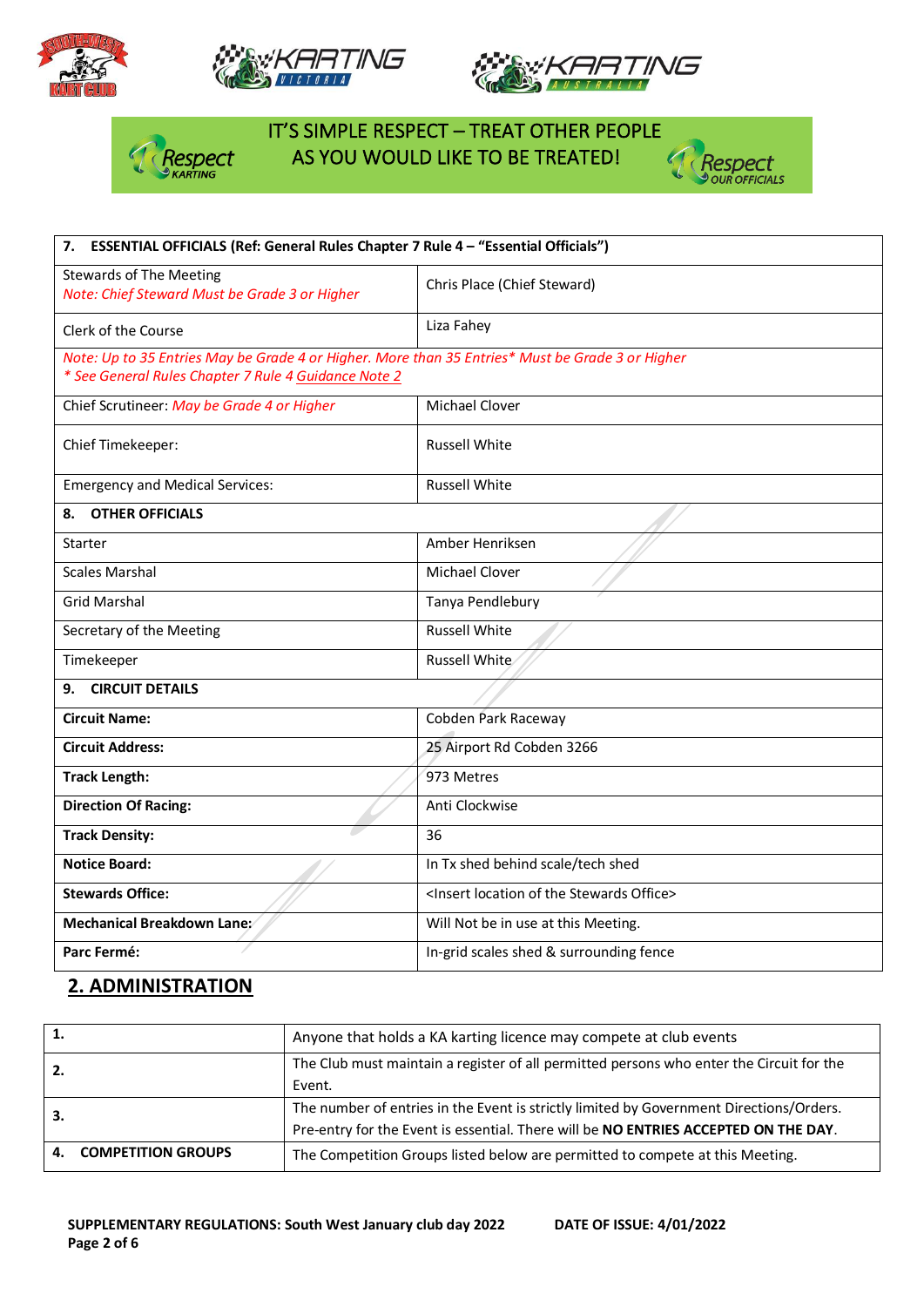







# IT'S SIMPLE RESPECT – TREAT OTHER PEOPLE **As YOU WOULD LIKE TO BE TREATED!**



| 7. ESSENTIAL OFFICIALS (Ref: General Rules Chapter 7 Rule 4 - "Essential Officials")                                                                     |                                                                  |  |  |
|----------------------------------------------------------------------------------------------------------------------------------------------------------|------------------------------------------------------------------|--|--|
| <b>Stewards of The Meeting</b><br>Note: Chief Steward Must be Grade 3 or Higher                                                                          | Chris Place (Chief Steward)                                      |  |  |
| Clerk of the Course                                                                                                                                      | Liza Fahey                                                       |  |  |
| Note: Up to 35 Entries May be Grade 4 or Higher. More than 35 Entries* Must be Grade 3 or Higher<br>* See General Rules Chapter 7 Rule 4 Guidance Note 2 |                                                                  |  |  |
| Chief Scrutineer: May be Grade 4 or Higher                                                                                                               | Michael Clover                                                   |  |  |
| Chief Timekeeper:                                                                                                                                        | <b>Russell White</b>                                             |  |  |
| <b>Emergency and Medical Services:</b>                                                                                                                   | <b>Russell White</b>                                             |  |  |
| <b>OTHER OFFICIALS</b><br>8.                                                                                                                             |                                                                  |  |  |
| <b>Starter</b>                                                                                                                                           | Amber Henriksen                                                  |  |  |
| <b>Scales Marshal</b>                                                                                                                                    | <b>Michael Clover</b>                                            |  |  |
| <b>Grid Marshal</b>                                                                                                                                      | Tanya Pendlebury                                                 |  |  |
| Secretary of the Meeting                                                                                                                                 | <b>Russell White</b>                                             |  |  |
| Timekeeper                                                                                                                                               | Russell White                                                    |  |  |
| <b>CIRCUIT DETAILS</b><br>9.                                                                                                                             |                                                                  |  |  |
| <b>Circuit Name:</b>                                                                                                                                     | Cobden Park Raceway                                              |  |  |
| <b>Circuit Address:</b>                                                                                                                                  | 25 Airport Rd Cobden 3266                                        |  |  |
| <b>Track Length:</b>                                                                                                                                     | 973 Metres                                                       |  |  |
| <b>Direction Of Racing:</b>                                                                                                                              | Anti Clockwise                                                   |  |  |
| <b>Track Density:</b>                                                                                                                                    | 36                                                               |  |  |
| <b>Notice Board:</b>                                                                                                                                     | In Tx shed behind scale/tech shed                                |  |  |
| <b>Stewards Office:</b>                                                                                                                                  | <insert location="" of="" office="" stewards="" the=""></insert> |  |  |
| Mechanical Breakdown Lane:                                                                                                                               | Will Not be in use at this Meeting.                              |  |  |
| Parc Fermé:                                                                                                                                              | In-grid scales shed & surrounding fence                          |  |  |

### **2. ADMINISTRATION**

| 1. |                           | Anyone that holds a KA karting licence may compete at club events                        |
|----|---------------------------|------------------------------------------------------------------------------------------|
| 2. |                           | The Club must maintain a register of all permitted persons who enter the Circuit for the |
|    |                           | Event.                                                                                   |
| З. |                           | The number of entries in the Event is strictly limited by Government Directions/Orders.  |
|    |                           | Pre-entry for the Event is essential. There will be NO ENTRIES ACCEPTED ON THE DAY.      |
| 4. | <b>COMPETITION GROUPS</b> | The Competition Groups listed below are permitted to compete at this Meeting.            |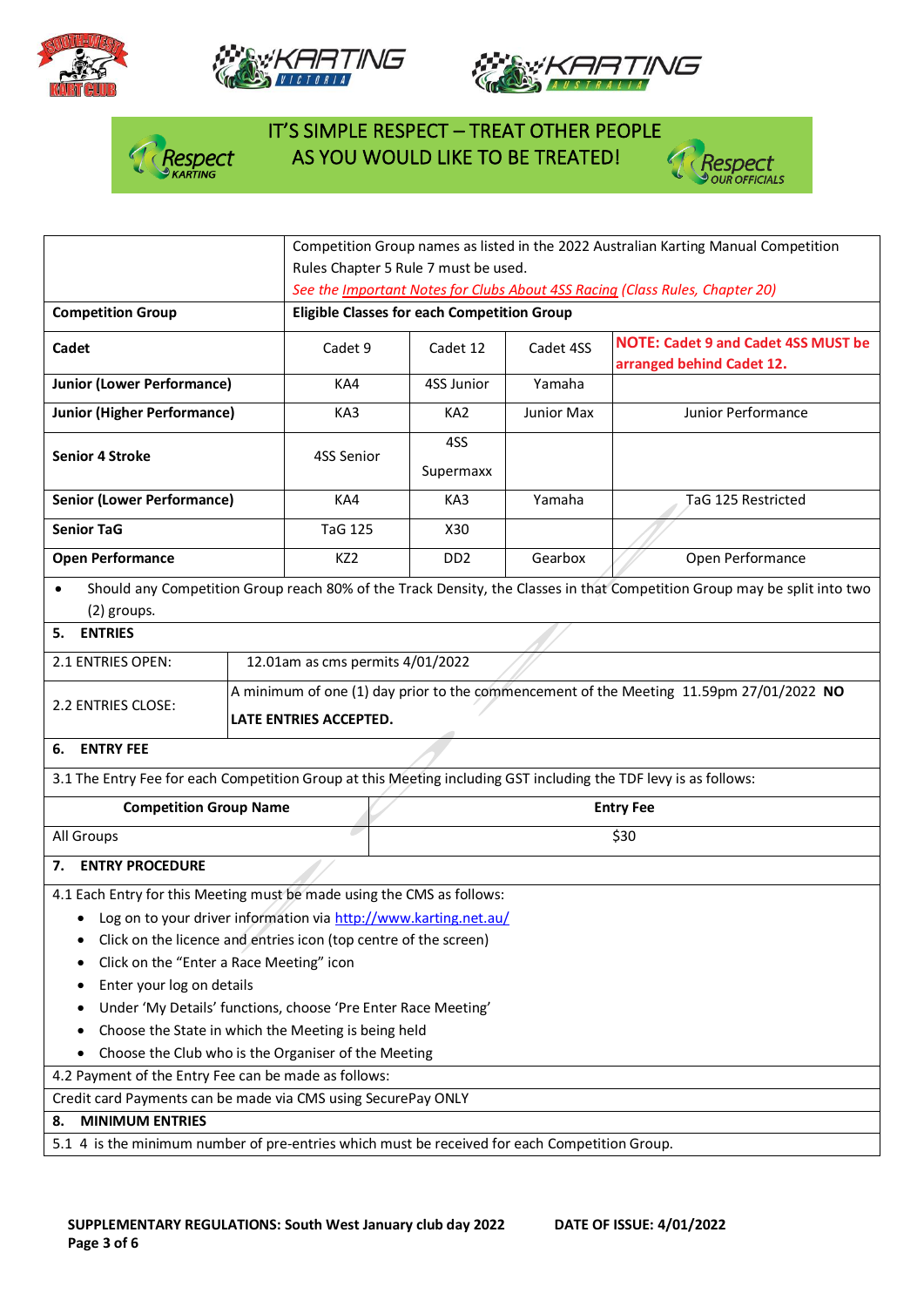







# IT'S SIMPLE RESPECT – TREAT OTHER PEOPLE  $\frac{1}{2}$  Respect AS YOU WOULD LIKE TO BE TREATED!



|                                                                                                                  |                                                                              | Competition Group names as listed in the 2022 Australian Karting Manual Competition                               |                             |            |                                                                                                                          |  |
|------------------------------------------------------------------------------------------------------------------|------------------------------------------------------------------------------|-------------------------------------------------------------------------------------------------------------------|-----------------------------|------------|--------------------------------------------------------------------------------------------------------------------------|--|
|                                                                                                                  | Rules Chapter 5 Rule 7 must be used.                                         |                                                                                                                   |                             |            |                                                                                                                          |  |
|                                                                                                                  | See the Important Notes for Clubs About 4SS Racing (Class Rules, Chapter 20) |                                                                                                                   |                             |            |                                                                                                                          |  |
| <b>Competition Group</b>                                                                                         | <b>Eligible Classes for each Competition Group</b>                           |                                                                                                                   |                             |            |                                                                                                                          |  |
| Cadet                                                                                                            |                                                                              | Cadet 9                                                                                                           | Cadet 12                    | Cadet 4SS  | <b>NOTE: Cadet 9 and Cadet 4SS MUST be</b><br>arranged behind Cadet 12.                                                  |  |
| <b>Junior (Lower Performance)</b>                                                                                |                                                                              | KA4                                                                                                               | 4SS Junior                  | Yamaha     |                                                                                                                          |  |
| <b>Junior (Higher Performance)</b>                                                                               |                                                                              | KA3                                                                                                               | KA <sub>2</sub>             | Junior Max | Junior Performance                                                                                                       |  |
| <b>Senior 4 Stroke</b>                                                                                           |                                                                              | 4SS Senior                                                                                                        | 4SS<br>Supermaxx            |            |                                                                                                                          |  |
| <b>Senior (Lower Performance)</b>                                                                                |                                                                              | KA4                                                                                                               | KA3                         | Yamaha     | TaG 125 Restricted                                                                                                       |  |
| <b>Senior TaG</b>                                                                                                |                                                                              | <b>TaG 125</b>                                                                                                    | X30                         |            |                                                                                                                          |  |
| <b>Open Performance</b>                                                                                          |                                                                              | KZ <sub>2</sub>                                                                                                   | D <sub>D</sub> <sub>2</sub> | Gearbox    | Open Performance                                                                                                         |  |
| $\bullet$<br>(2) groups.                                                                                         |                                                                              |                                                                                                                   |                             |            | Should any Competition Group reach 80% of the Track Density, the Classes in that Competition Group may be split into two |  |
| <b>ENTRIES</b><br>5.                                                                                             |                                                                              |                                                                                                                   |                             |            |                                                                                                                          |  |
| 2.1 ENTRIES OPEN:                                                                                                |                                                                              | 12.01am as cms permits 4/01/2022                                                                                  |                             |            |                                                                                                                          |  |
| 2.2 ENTRIES CLOSE:                                                                                               |                                                                              | A minimum of one (1) day prior to the commencement of the Meeting 11.59pm 27/01/2022 NO<br>LATE ENTRIES ACCEPTED. |                             |            |                                                                                                                          |  |
| <b>ENTRY FEE</b><br>6.                                                                                           |                                                                              |                                                                                                                   |                             |            |                                                                                                                          |  |
| 3.1 The Entry Fee for each Competition Group at this Meeting including GST including the TDF levy is as follows: |                                                                              |                                                                                                                   |                             |            |                                                                                                                          |  |
| <b>Competition Group Name</b>                                                                                    |                                                                              | <b>Entry Fee</b>                                                                                                  |                             |            |                                                                                                                          |  |
| All Groups                                                                                                       |                                                                              | \$30                                                                                                              |                             |            |                                                                                                                          |  |
| <b>ENTRY PROCEDURE</b><br>7.                                                                                     |                                                                              |                                                                                                                   |                             |            |                                                                                                                          |  |
| 4.1 Each Entry for this Meeting must be made using the CMS as follows:                                           |                                                                              |                                                                                                                   |                             |            |                                                                                                                          |  |
| • Log on to your driver information via http://www.karting.net.au/                                               |                                                                              |                                                                                                                   |                             |            |                                                                                                                          |  |
| Click on the licence and entries icon (top centre of the screen)                                                 |                                                                              |                                                                                                                   |                             |            |                                                                                                                          |  |
| Click on the "Enter a Race Meeting" icon                                                                         |                                                                              |                                                                                                                   |                             |            |                                                                                                                          |  |
| Enter your log on details                                                                                        |                                                                              |                                                                                                                   |                             |            |                                                                                                                          |  |
| Under 'My Details' functions, choose 'Pre Enter Race Meeting'                                                    |                                                                              |                                                                                                                   |                             |            |                                                                                                                          |  |
| Choose the State in which the Meeting is being held<br>٠                                                         |                                                                              |                                                                                                                   |                             |            |                                                                                                                          |  |
| Choose the Club who is the Organiser of the Meeting                                                              |                                                                              |                                                                                                                   |                             |            |                                                                                                                          |  |
| 4.2 Payment of the Entry Fee can be made as follows:                                                             |                                                                              |                                                                                                                   |                             |            |                                                                                                                          |  |
| Credit card Payments can be made via CMS using SecurePay ONLY                                                    |                                                                              |                                                                                                                   |                             |            |                                                                                                                          |  |
| <b>MINIMUM ENTRIES</b><br>8.                                                                                     |                                                                              |                                                                                                                   |                             |            |                                                                                                                          |  |
| 5.1 4 is the minimum number of pre-entries which must be received for each Competition Group.                    |                                                                              |                                                                                                                   |                             |            |                                                                                                                          |  |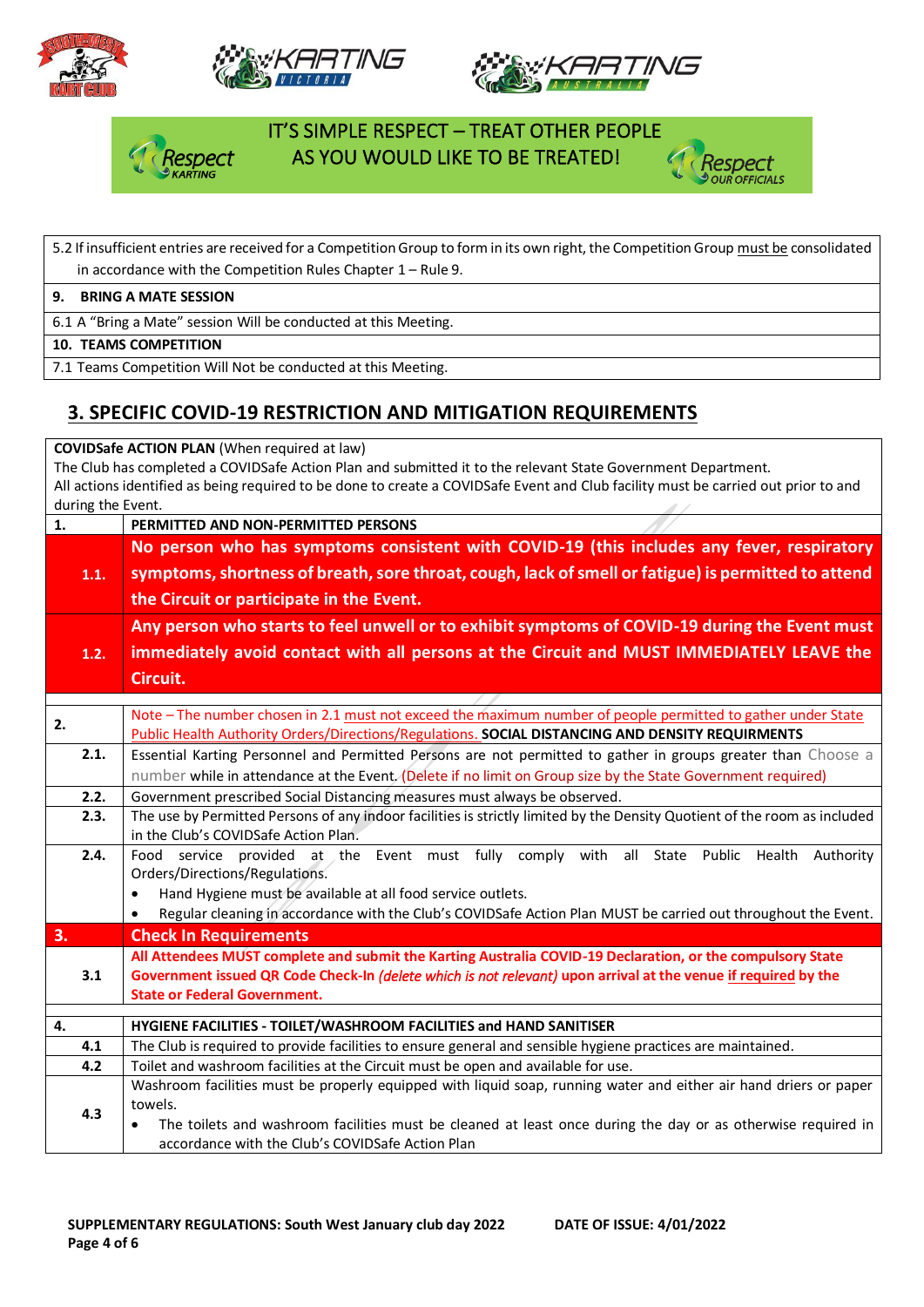







### IT'S SIMPLE RESPECT – TREAT OTHER PEOPLE AS YOU WOULD LIKE TO BE TREATED!



## 5.2 If insufficient entries are received for a Competition Group to form in its own right, the Competition Group must be consolidated in accordance with the Competition Rules Chapter 1 – Rule 9. **9. BRING A MATE SESSION** 6.1 A "Bring a Mate" session Will be conducted at this Meeting.

**10. TEAMS COMPETITION**

7.1 Teams Competition Will Not be conducted at this Meeting.

## **3. SPECIFIC COVID-19 RESTRICTION AND MITIGATION REQUIREMENTS**

**COVIDSafe ACTION PLAN** (When required at law)

The Club has completed a COVIDSafe Action Plan and submitted it to the relevant State Government Department. All actions identified as being required to be done to create a COVIDSafe Event and Club facility must be carried out prior to and during the Event. -11-1

| 1.   | PERMITTED AND NON-PERMITTED PERSONS                                                                                       |  |  |  |  |  |  |  |
|------|---------------------------------------------------------------------------------------------------------------------------|--|--|--|--|--|--|--|
|      | No person who has symptoms consistent with COVID-19 (this includes any fever, respiratory                                 |  |  |  |  |  |  |  |
| 1.1. | symptoms, shortness of breath, sore throat, cough, lack of smell or fatigue) is permitted to attend                       |  |  |  |  |  |  |  |
|      | the Circuit or participate in the Event.                                                                                  |  |  |  |  |  |  |  |
|      |                                                                                                                           |  |  |  |  |  |  |  |
|      | Any person who starts to feel unwell or to exhibit symptoms of COVID-19 during the Event must                             |  |  |  |  |  |  |  |
| 1.2. | immediately avoid contact with all persons at the Circuit and MUST IMMEDIATELY LEAVE the                                  |  |  |  |  |  |  |  |
|      | Circuit.                                                                                                                  |  |  |  |  |  |  |  |
|      |                                                                                                                           |  |  |  |  |  |  |  |
| 2.   | Note - The number chosen in 2.1 must not exceed the maximum number of people permitted to gather under State              |  |  |  |  |  |  |  |
|      | Public Health Authority Orders/Directions/Regulations. SOCIAL DISTANCING AND DENSITY REQUIRMENTS                          |  |  |  |  |  |  |  |
| 2.1. | Essential Karting Personnel and Permitted Persons are not permitted to gather in groups greater than Choose a             |  |  |  |  |  |  |  |
|      | number while in attendance at the Event. (Delete if no limit on Group size by the State Government required)              |  |  |  |  |  |  |  |
| 2.2. | Government prescribed Social Distancing measures must always be observed.                                                 |  |  |  |  |  |  |  |
| 2.3. | The use by Permitted Persons of any indoor facilities is strictly limited by the Density Quotient of the room as included |  |  |  |  |  |  |  |
|      | in the Club's COVIDSafe Action Plan.                                                                                      |  |  |  |  |  |  |  |
| 2.4. | Food service provided at the Event must fully comply with all State Public Health Authority                               |  |  |  |  |  |  |  |
|      | Orders/Directions/Regulations.                                                                                            |  |  |  |  |  |  |  |
|      | Hand Hygiene must be available at all food service outlets.<br>$\bullet$                                                  |  |  |  |  |  |  |  |
|      | Regular cleaning in accordance with the Club's COVIDSafe Action Plan MUST be carried out throughout the Event.            |  |  |  |  |  |  |  |
| 3.   | <b>Check In Requirements</b>                                                                                              |  |  |  |  |  |  |  |
|      | All Attendees MUST complete and submit the Karting Australia COVID-19 Declaration, or the compulsory State                |  |  |  |  |  |  |  |
| 3.1  | Government issued QR Code Check-In (delete which is not relevant) upon arrival at the venue if required by the            |  |  |  |  |  |  |  |
|      | <b>State or Federal Government.</b>                                                                                       |  |  |  |  |  |  |  |
| 4.   | HYGIENE FACILITIES - TOILET/WASHROOM FACILITIES and HAND SANITISER                                                        |  |  |  |  |  |  |  |
| 4.1  | The Club is required to provide facilities to ensure general and sensible hygiene practices are maintained.               |  |  |  |  |  |  |  |
| 4.2  | Toilet and washroom facilities at the Circuit must be open and available for use.                                         |  |  |  |  |  |  |  |
|      | Washroom facilities must be properly equipped with liquid soap, running water and either air hand driers or paper         |  |  |  |  |  |  |  |
| 4.3  | towels.                                                                                                                   |  |  |  |  |  |  |  |
|      | The toilets and washroom facilities must be cleaned at least once during the day or as otherwise required in              |  |  |  |  |  |  |  |
|      | accordance with the Club's COVIDSafe Action Plan                                                                          |  |  |  |  |  |  |  |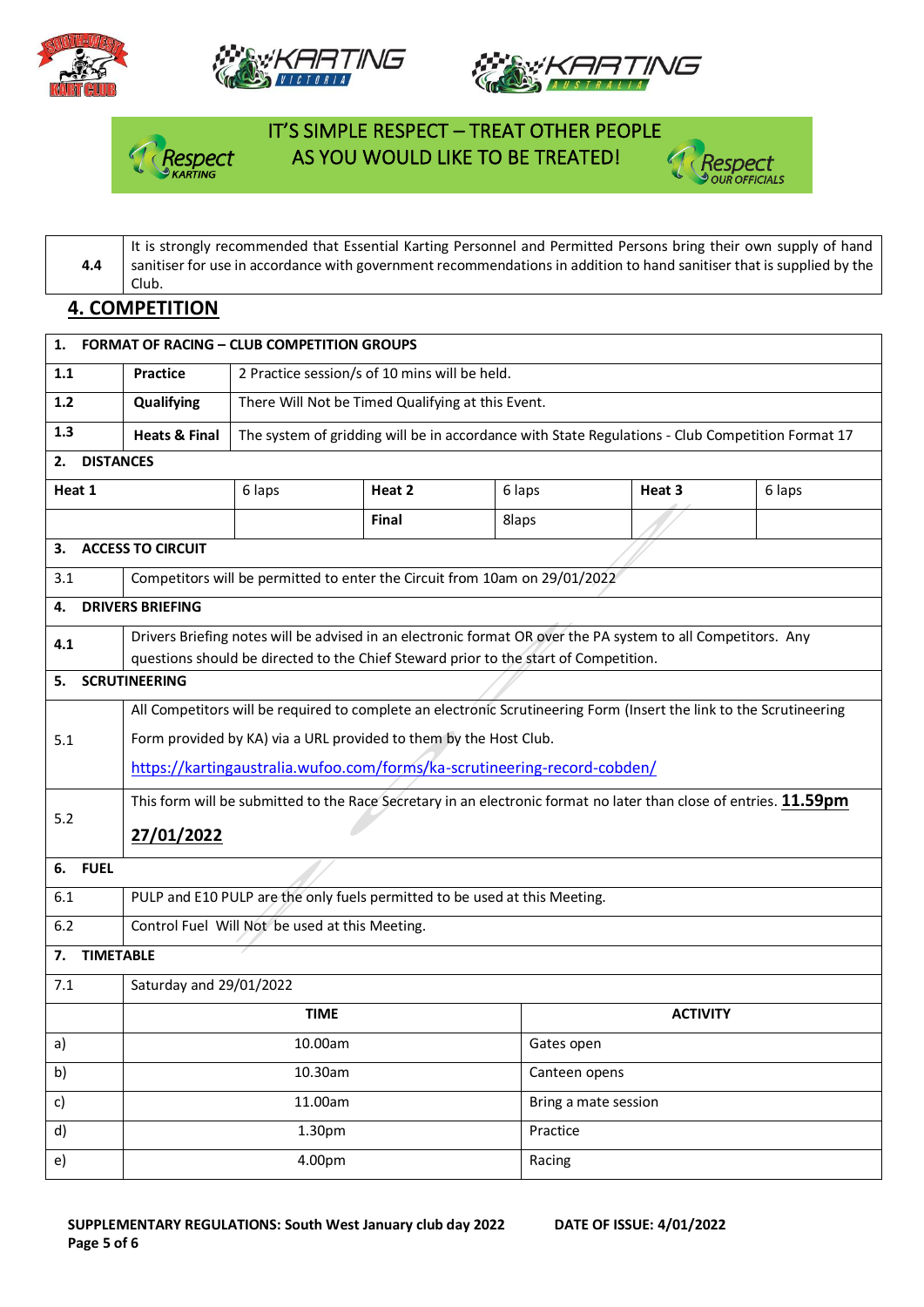







 IT'S SIMPLE RESPECT – TREAT OTHER PEOPLE spect AS YOU WOULD LIKE TO BE TREATED!



**4.4** It is strongly recommended that Essential Karting Personnel and Permitted Persons bring their own supply of hand sanitiser for use in accordance with government recommendations in addition to hand sanitiser that is supplied by the Club.

### **4. COMPETITION**

| <b>Practice</b>                                                                                                                                                                                                                                                    | 2 Practice session/s of 10 mins will be held.                                                    |        |                                                                                                 |                                                                                                                                                                             |                                                                                                                                                                                                                                                                                                                             |  |  |
|--------------------------------------------------------------------------------------------------------------------------------------------------------------------------------------------------------------------------------------------------------------------|--------------------------------------------------------------------------------------------------|--------|-------------------------------------------------------------------------------------------------|-----------------------------------------------------------------------------------------------------------------------------------------------------------------------------|-----------------------------------------------------------------------------------------------------------------------------------------------------------------------------------------------------------------------------------------------------------------------------------------------------------------------------|--|--|
| Qualifying                                                                                                                                                                                                                                                         | There Will Not be Timed Qualifying at this Event.                                                |        |                                                                                                 |                                                                                                                                                                             |                                                                                                                                                                                                                                                                                                                             |  |  |
| <b>Heats &amp; Final</b>                                                                                                                                                                                                                                           | The system of gridding will be in accordance with State Regulations - Club Competition Format 17 |        |                                                                                                 |                                                                                                                                                                             |                                                                                                                                                                                                                                                                                                                             |  |  |
|                                                                                                                                                                                                                                                                    |                                                                                                  |        |                                                                                                 |                                                                                                                                                                             |                                                                                                                                                                                                                                                                                                                             |  |  |
|                                                                                                                                                                                                                                                                    | 6 laps                                                                                           | Heat 2 |                                                                                                 | Heat 3                                                                                                                                                                      | 6 laps                                                                                                                                                                                                                                                                                                                      |  |  |
|                                                                                                                                                                                                                                                                    |                                                                                                  | Final  |                                                                                                 |                                                                                                                                                                             |                                                                                                                                                                                                                                                                                                                             |  |  |
| <b>ACCESS TO CIRCUIT</b><br>3.                                                                                                                                                                                                                                     |                                                                                                  |        |                                                                                                 |                                                                                                                                                                             |                                                                                                                                                                                                                                                                                                                             |  |  |
|                                                                                                                                                                                                                                                                    |                                                                                                  |        |                                                                                                 |                                                                                                                                                                             |                                                                                                                                                                                                                                                                                                                             |  |  |
|                                                                                                                                                                                                                                                                    |                                                                                                  |        |                                                                                                 |                                                                                                                                                                             |                                                                                                                                                                                                                                                                                                                             |  |  |
|                                                                                                                                                                                                                                                                    |                                                                                                  |        |                                                                                                 |                                                                                                                                                                             |                                                                                                                                                                                                                                                                                                                             |  |  |
|                                                                                                                                                                                                                                                                    |                                                                                                  |        |                                                                                                 |                                                                                                                                                                             |                                                                                                                                                                                                                                                                                                                             |  |  |
| Form provided by KA) via a URL provided to them by the Host Club.<br>https://kartingaustralia.wufoo.com/forms/ka-scrutineering-record-cobden/<br>This form will be submitted to the Race Secretary in an electronic format no later than close of entries. 11.59pm |                                                                                                  |        |                                                                                                 |                                                                                                                                                                             |                                                                                                                                                                                                                                                                                                                             |  |  |
| 27/01/2022<br>6. FUEL                                                                                                                                                                                                                                              |                                                                                                  |        |                                                                                                 |                                                                                                                                                                             |                                                                                                                                                                                                                                                                                                                             |  |  |
|                                                                                                                                                                                                                                                                    |                                                                                                  |        |                                                                                                 |                                                                                                                                                                             |                                                                                                                                                                                                                                                                                                                             |  |  |
|                                                                                                                                                                                                                                                                    |                                                                                                  |        |                                                                                                 |                                                                                                                                                                             |                                                                                                                                                                                                                                                                                                                             |  |  |
| $6.2$<br><b>TIMETABLE</b><br>7.                                                                                                                                                                                                                                    |                                                                                                  |        |                                                                                                 |                                                                                                                                                                             |                                                                                                                                                                                                                                                                                                                             |  |  |
| Saturday and 29/01/2022                                                                                                                                                                                                                                            |                                                                                                  |        |                                                                                                 |                                                                                                                                                                             |                                                                                                                                                                                                                                                                                                                             |  |  |
|                                                                                                                                                                                                                                                                    |                                                                                                  |        |                                                                                                 |                                                                                                                                                                             |                                                                                                                                                                                                                                                                                                                             |  |  |
|                                                                                                                                                                                                                                                                    | <b>TIME</b>                                                                                      |        |                                                                                                 | <b>ACTIVITY</b>                                                                                                                                                             |                                                                                                                                                                                                                                                                                                                             |  |  |
|                                                                                                                                                                                                                                                                    | 10.00am                                                                                          |        | Gates open                                                                                      |                                                                                                                                                                             |                                                                                                                                                                                                                                                                                                                             |  |  |
|                                                                                                                                                                                                                                                                    | 10.30am                                                                                          |        | Canteen opens                                                                                   |                                                                                                                                                                             |                                                                                                                                                                                                                                                                                                                             |  |  |
|                                                                                                                                                                                                                                                                    | 11.00am                                                                                          |        | Bring a mate session                                                                            |                                                                                                                                                                             |                                                                                                                                                                                                                                                                                                                             |  |  |
|                                                                                                                                                                                                                                                                    | 1.30pm                                                                                           |        | Practice                                                                                        |                                                                                                                                                                             |                                                                                                                                                                                                                                                                                                                             |  |  |
|                                                                                                                                                                                                                                                                    | <b>DISTANCES</b><br><b>DRIVERS BRIEFING</b><br><b>SCRUTINEERING</b>                              |        | 1. FORMAT OF RACING - CLUB COMPETITION GROUPS<br>Control Fuel Will Not be used at this Meeting. | 6 laps<br>8laps<br>Competitors will be permitted to enter the Circuit from 10am on 29/01/2022<br>PULP and E10 PULP are the only fuels permitted to be used at this Meeting. | Drivers Briefing notes will be advised in an electronic format OR over the PA system to all Competitors. Any<br>questions should be directed to the Chief Steward prior to the start of Competition.<br>All Competitors will be required to complete an electronic Scrutineering Form (Insert the link to the Scrutineering |  |  |